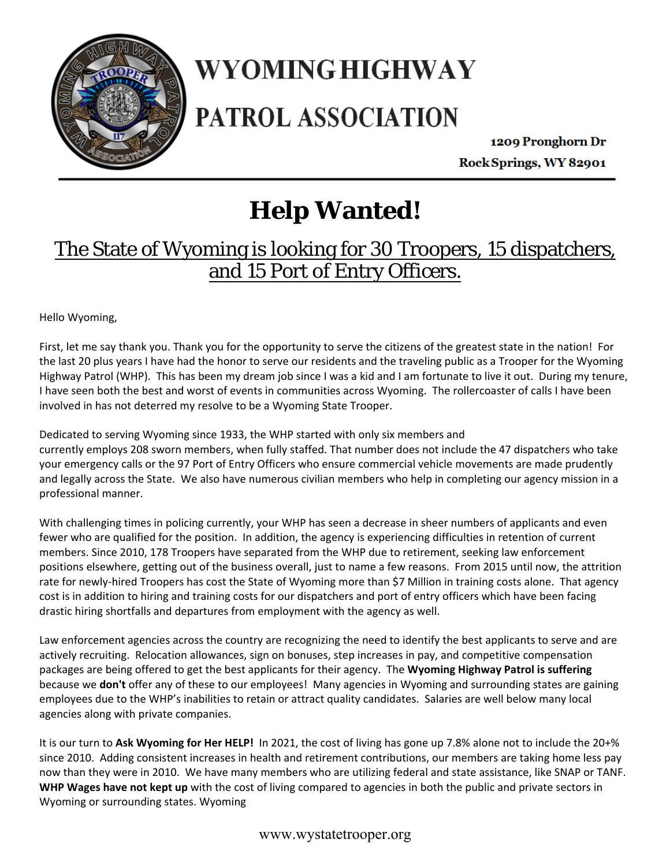

## WYOMING HIGHWAY

## **PATROL ASSOCIATION**

1209 Pronghorn Dr Rock Springs, WY 82901

## **Help Wanted!**

### The State of Wyoming is looking for 30 Troopers, 15 dispatchers, and 15 Port of Entry Officers.

Hello Wyoming,

First, let me say thank you. Thank you for the opportunity to serve the citizens of the greatest state in the nation! For the last 20 plus years I have had the honor to serve our residents and the traveling public as a Trooper for the Wyoming Highway Patrol (WHP). This has been my dream job since I was a kid and I am fortunate to live it out. During my tenure, I have seen both the best and worst of events in communities across Wyoming. The rollercoaster of calls I have been involved in has not deterred my resolve to be a Wyoming State Trooper.

Dedicated to serving Wyoming since 1933, the WHP started with only six members and currently employs 208 sworn members, when fully staffed. That number does not include the 47 dispatchers who take your emergency calls or the 97 Port of Entry Officers who ensure commercial vehicle movements are made prudently and legally across the State. We also have numerous civilian members who help in completing our agency mission in a professional manner.

With challenging times in policing currently, your WHP has seen a decrease in sheer numbers of applicants and even fewer who are qualified for the position. In addition, the agency is experiencing difficulties in retention of current members. Since 2010, 178 Troopers have separated from the WHP due to retirement, seeking law enforcement positions elsewhere, getting out of the business overall, just to name a few reasons. From 2015 until now, the attrition rate for newly‐hired Troopers has cost the State of Wyoming more than \$7 Million in training costs alone. That agency cost is in addition to hiring and training costs for our dispatchers and port of entry officers which have been facing drastic hiring shortfalls and departures from employment with the agency as well.

Law enforcement agencies across the country are recognizing the need to identify the best applicants to serve and are actively recruiting. Relocation allowances, sign on bonuses, step increases in pay, and competitive compensation packages are being offered to get the best applicants for their agency. The **Wyoming Highway Patrol is suffering** because we **don't** offer any of these to our employees! Many agencies in Wyoming and surrounding states are gaining employees due to the WHP's inabilities to retain or attract quality candidates. Salaries are well below many local agencies along with private companies.

It is our turn to Ask Wyoming for Her HELP! In 2021, the cost of living has gone up 7.8% alone not to include the 20+% since 2010. Adding consistent increases in health and retirement contributions, our members are taking home less pay now than they were in 2010. We have many members who are utilizing federal and state assistance, like SNAP or TANF. **WHP Wages have not kept up** with the cost of living compared to agencies in both the public and private sectors in Wyoming or surrounding states. Wyoming

#### www.wystatetrooper.org